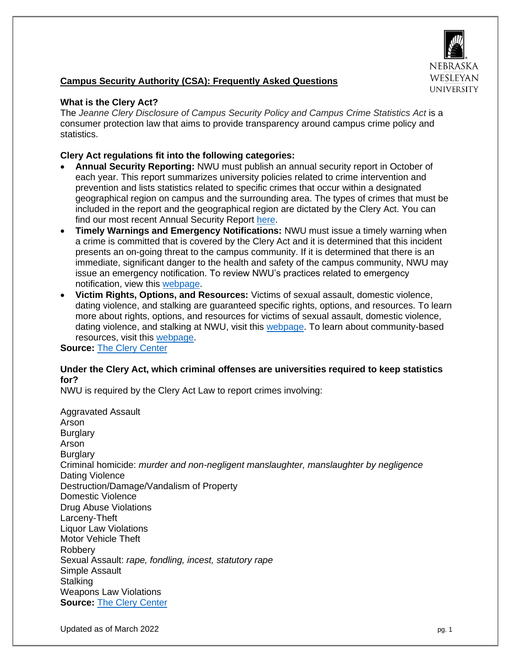

# **Campus Security Authority (CSA): Frequently Asked Questions**

## **What is the Clery Act?**

The *Jeanne Clery Disclosure of Campus Security Policy and Campus Crime Statistics Act* is a consumer protection law that aims to provide transparency around campus crime policy and statistics.

## **Clery Act regulations fit into the following categories:**

- **Annual Security Reporting:** NWU must publish an annual security report in October of each year. This report summarizes university policies related to crime intervention and prevention and lists statistics related to specific crimes that occur within a designated geographical region on campus and the surrounding area. The types of crimes that must be included in the report and the geographical region are dictated by the Clery Act. You can find our most recent Annual Security Report [here.](https://www.nebrwesleyan.edu/sites/default/files/inline-files/2021_nwu_annual_security_report_fire_safety_report.pdf)
- **Timely Warnings and Emergency Notifications:** NWU must issue a timely warning when a crime is committed that is covered by the Clery Act and it is determined that this incident presents an on-going threat to the campus community. If it is determined that there is an immediate, significant danger to the health and safety of the campus community, NWU may issue an emergency notification. To review NWU's practices related to emergency notification, view this [webpage.](https://www.nebrwesleyan.edu/about-nwu/campus-safety/emergency-information)
- **Victim Rights, Options, and Resources:** Victims of sexual assault, domestic violence, dating violence, and stalking are guaranteed specific rights, options, and resources. To learn more about rights, options, and resources for victims of sexual assault, domestic violence, dating violence, and stalking at NWU, visit this [webpage.](https://www.nebrwesleyan.edu/inside-nwu/sexual-harassment-and-sexual-misconduct-prevention-and-response/sexual-harassment-and) To learn about community-based resources, visit this [webpage.](https://www.nebrwesleyan.edu/sites/default/files/inline-files/resources-contacts-7-18-19.pdf)

**Source:** [The Clery Center](https://clerycenter.org/policy-resources/the-clery-act/)

## **Under the Clery Act, which criminal offenses are universities required to keep statistics for?**

NWU is required by the Clery Act Law to report crimes involving:

Aggravated Assault Arson **Burglary** Arson **Burglary** Criminal homicide: *murder and non-negligent manslaughter, manslaughter by negligence* Dating Violence Destruction/Damage/Vandalism of Property Domestic Violence Drug Abuse Violations Larceny-Theft Liquor Law Violations Motor Vehicle Theft Robbery Sexual Assault: *rape, fondling, incest, statutory rape* Simple Assault **Stalking** Weapons Law Violations **Source:** [The Clery Center](https://clerycenter.org/policy-resources/the-clery-act/)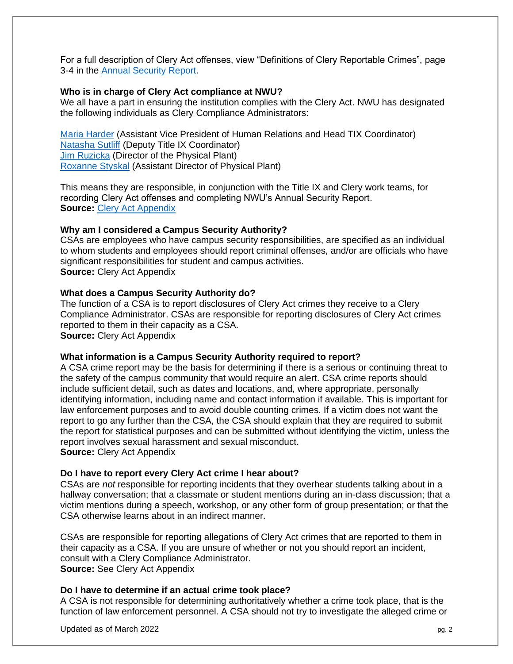For a full description of Clery Act offenses, view "Definitions of Clery Reportable Crimes", page 3-4 in the [Annual Security Report.](chrome-extension://efaidnbmnnnibpcajpcglclefindmkaj/viewer.html?pdfurl=https%3A%2F%2Fwww.nebrwesleyan.edu%2Fsites%2Fdefault%2Ffiles%2Finline-files%2F2020_nwu_annual_security_report_fire_safety_report_final_0.pdf&clen=1912779&chunk=true)

#### **Who is in charge of Clery Act compliance at NWU?**

We all have a part in ensuring the institution complies with the Clery Act. NWU has designated the following individuals as Clery Compliance Administrators:

[Maria Harder](https://www.nebrwesleyan.edu/campus-directory?displayname=Maria+Harder&department=) (Assistant Vice President of Human Relations and Head TIX Coordinator) [Natasha Sutliff](https://www.nebrwesleyan.edu/campus-directory?displayname=Natasha+Sutliff&department=) (Deputy Title IX Coordinator) [Jim Ruzicka](https://www.nebrwesleyan.edu/campus-directory?displayname=James+Ruzicka&department=) (Director of the Physical Plant) [Roxanne Styskal](https://www.nebrwesleyan.edu/campus-directory?displayname=Roxanne+Styskal&department=) (Assistant Director of Physical Plant)

This means they are responsible, in conjunction with the Title IX and Clery work teams, for recording Clery Act offenses and completing NWU's Annual Security Report. **Source:** [Clery Act Appendix](chrome-extension://efaidnbmnnnibpcajpcglclefindmkaj/viewer.html?pdfurl=https%3A%2F%2Fwww2.ed.gov%2Fadmins%2Flead%2Fsafety%2Fcleryappendixfinal.pdf&clen=250494&chunk=true)

#### **Why am I considered a Campus Security Authority?**

CSAs are employees who have campus security responsibilities, are specified as an individual to whom students and employees should report criminal offenses, and/or are officials who have significant responsibilities for student and campus activities. **Source:** Clery Act Appendix

#### **What does a Campus Security Authority do?**

The function of a CSA is to report disclosures of Clery Act crimes they receive to a Clery Compliance Administrator. CSAs are responsible for reporting disclosures of Clery Act crimes reported to them in their capacity as a CSA.

**Source:** Clery Act Appendix

#### **What information is a Campus Security Authority required to report?**

A CSA crime report may be the basis for determining if there is a serious or continuing threat to the safety of the campus community that would require an alert. CSA crime reports should include sufficient detail, such as dates and locations, and, where appropriate, personally identifying information, including name and contact information if available. This is important for law enforcement purposes and to avoid double counting crimes. If a victim does not want the report to go any further than the CSA, the CSA should explain that they are required to submit the report for statistical purposes and can be submitted without identifying the victim, unless the report involves sexual harassment and sexual misconduct. **Source:** Clery Act Appendix

#### **Do I have to report every Clery Act crime I hear about?**

CSAs are *not* responsible for reporting incidents that they overhear students talking about in a hallway conversation; that a classmate or student mentions during an in-class discussion; that a victim mentions during a speech, workshop, or any other form of group presentation; or that the CSA otherwise learns about in an indirect manner.

CSAs are responsible for reporting allegations of Clery Act crimes that are reported to them in their capacity as a CSA. If you are unsure of whether or not you should report an incident, consult with a Clery Compliance Administrator. **Source:** See Clery Act Appendix

#### **Do I have to determine if an actual crime took place?**

A CSA is not responsible for determining authoritatively whether a crime took place, that is the function of law enforcement personnel. A CSA should not try to investigate the alleged crime or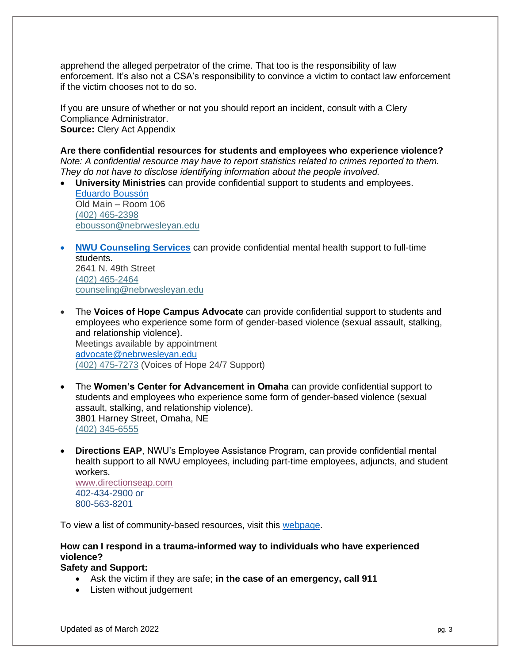apprehend the alleged perpetrator of the crime. That too is the responsibility of law enforcement. It's also not a CSA's responsibility to convince a victim to contact law enforcement if the victim chooses not to do so.

If you are unsure of whether or not you should report an incident, consult with a Clery Compliance Administrator. **Source:** Clery Act Appendix

**Are there confidential resources for students and employees who experience violence?** *Note: A confidential resource may have to report statistics related to crimes reported to them. They do not have to disclose identifying information about the people involved.*

- **University Ministries** can provide confidential support to students and employees. [Eduardo Boussón](https://www.nebrwesleyan.edu/campus-directory?displayname=Eduardo+Bousson&department=) Old Main – Room 106 [\(402\) 465-2398](tel:4024652398) [ebousson@nebrwesleyan.edu](mailto:ebousson@nebrwesleyan.edu)
- **[NWU Counseling Services](https://www.nebrwesleyan.edu/inside-nwu/personal-counseling)** can provide confidential mental health support to full-time students. 2641 N. 49th Street [\(402\) 465-2464](tel:4024652464) [counseling@nebrwesleyan.edu](mailto:counseling@nebrwesleyan.edu)
- The **Voices of Hope Campus Advocate** can provide confidential support to students and employees who experience some form of gender-based violence (sexual assault, stalking, and relationship violence). Meetings available by appointment [advocate@nebrwesleyan.edu](mailto:advocate@nebrwesleyan.edu) [\(402\) 475-7273](tel:4024757273) (Voices of Hope 24/7 Support)
- The **Women's Center for Advancement in Omaha** can provide confidential support to students and employees who experience some form of gender-based violence (sexual assault, stalking, and relationship violence). 3801 Harney Street, Omaha, NE [\(402\) 345-6555](tel:4024757273)
- **Directions EAP**, NWU's Employee Assistance Program, can provide confidential mental health support to all NWU employees, including part-time employees, adjuncts, and student workers. [www.directionseap.com](http://www.directionseap.com/) 402-434-2900 or

800-563-8201

To view a list of community-based resources, visit this [webpage.](https://www.nebrwesleyan.edu/sites/default/files/inline-files/resources-contacts-7-18-19.pdf)

# **How can I respond in a trauma-informed way to individuals who have experienced violence?**

**Safety and Support:**

- Ask the victim if they are safe; **in the case of an emergency, call 911**
- Listen without judgement